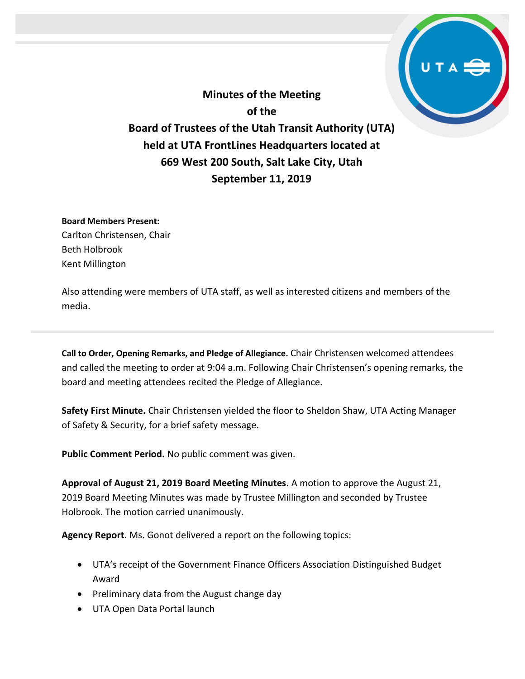**Minutes of the Meeting of the Board of Trustees of the Utah Transit Authority (UTA) held at UTA FrontLines Headquarters located at 669 West 200 South, Salt Lake City, Utah September 11, 2019**

**Board Members Present:**

Carlton Christensen, Chair Beth Holbrook Kent Millington

Also attending were members of UTA staff, as well as interested citizens and members of the media.

**Call to Order, Opening Remarks, and Pledge of Allegiance.** Chair Christensen welcomed attendees and called the meeting to order at 9:04 a.m. Following Chair Christensen's opening remarks, the board and meeting attendees recited the Pledge of Allegiance.

**Safety First Minute.** Chair Christensen yielded the floor to Sheldon Shaw, UTA Acting Manager of Safety & Security, for a brief safety message.

**Public Comment Period.** No public comment was given.

**Approval of August 21, 2019 Board Meeting Minutes.** A motion to approve the August 21, 2019 Board Meeting Minutes was made by Trustee Millington and seconded by Trustee Holbrook. The motion carried unanimously.

**Agency Report.** Ms. Gonot delivered a report on the following topics:

- UTA's receipt of the Government Finance Officers Association Distinguished Budget Award
- Preliminary data from the August change day
- UTA Open Data Portal launch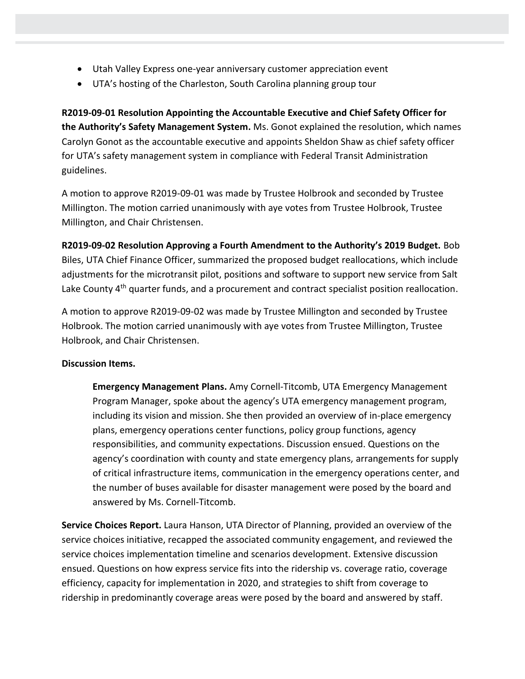- Utah Valley Express one-year anniversary customer appreciation event
- UTA's hosting of the Charleston, South Carolina planning group tour

**R2019-09-01 Resolution Appointing the Accountable Executive and Chief Safety Officer for the Authority's Safety Management System.** Ms. Gonot explained the resolution, which names Carolyn Gonot as the accountable executive and appoints Sheldon Shaw as chief safety officer for UTA's safety management system in compliance with Federal Transit Administration guidelines.

A motion to approve R2019-09-01 was made by Trustee Holbrook and seconded by Trustee Millington. The motion carried unanimously with aye votes from Trustee Holbrook, Trustee Millington, and Chair Christensen.

**R2019-09-02 Resolution Approving a Fourth Amendment to the Authority's 2019 Budget.** Bob Biles, UTA Chief Finance Officer, summarized the proposed budget reallocations, which include adjustments for the microtransit pilot, positions and software to support new service from Salt Lake County  $4<sup>th</sup>$  quarter funds, and a procurement and contract specialist position reallocation.

A motion to approve R2019-09-02 was made by Trustee Millington and seconded by Trustee Holbrook. The motion carried unanimously with aye votes from Trustee Millington, Trustee Holbrook, and Chair Christensen.

## **Discussion Items.**

**Emergency Management Plans.** Amy Cornell-Titcomb, UTA Emergency Management Program Manager, spoke about the agency's UTA emergency management program, including its vision and mission. She then provided an overview of in-place emergency plans, emergency operations center functions, policy group functions, agency responsibilities, and community expectations. Discussion ensued. Questions on the agency's coordination with county and state emergency plans, arrangements for supply of critical infrastructure items, communication in the emergency operations center, and the number of buses available for disaster management were posed by the board and answered by Ms. Cornell-Titcomb.

**Service Choices Report.** Laura Hanson, UTA Director of Planning, provided an overview of the service choices initiative, recapped the associated community engagement, and reviewed the service choices implementation timeline and scenarios development. Extensive discussion ensued. Questions on how express service fits into the ridership vs. coverage ratio, coverage efficiency, capacity for implementation in 2020, and strategies to shift from coverage to ridership in predominantly coverage areas were posed by the board and answered by staff.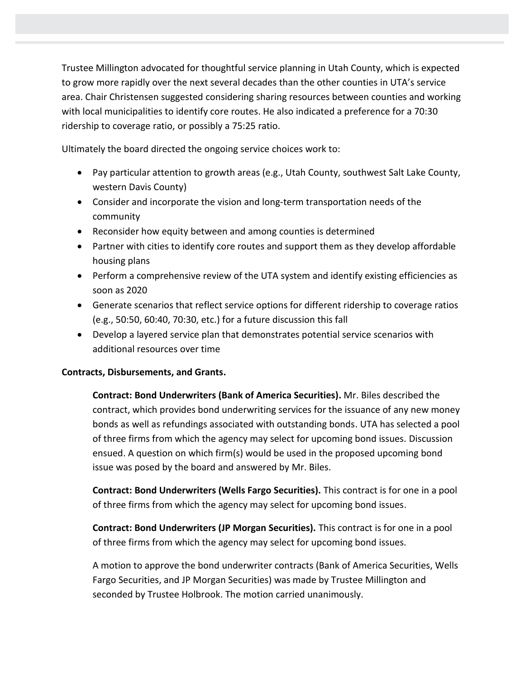Trustee Millington advocated for thoughtful service planning in Utah County, which is expected to grow more rapidly over the next several decades than the other counties in UTA's service area. Chair Christensen suggested considering sharing resources between counties and working with local municipalities to identify core routes. He also indicated a preference for a 70:30 ridership to coverage ratio, or possibly a 75:25 ratio.

Ultimately the board directed the ongoing service choices work to:

- Pay particular attention to growth areas (e.g., Utah County, southwest Salt Lake County, western Davis County)
- Consider and incorporate the vision and long-term transportation needs of the community
- Reconsider how equity between and among counties is determined
- Partner with cities to identify core routes and support them as they develop affordable housing plans
- Perform a comprehensive review of the UTA system and identify existing efficiencies as soon as 2020
- Generate scenarios that reflect service options for different ridership to coverage ratios (e.g., 50:50, 60:40, 70:30, etc.) for a future discussion this fall
- Develop a layered service plan that demonstrates potential service scenarios with additional resources over time

## **Contracts, Disbursements, and Grants.**

**Contract: Bond Underwriters (Bank of America Securities).** Mr. Biles described the contract, which provides bond underwriting services for the issuance of any new money bonds as well as refundings associated with outstanding bonds. UTA has selected a pool of three firms from which the agency may select for upcoming bond issues. Discussion ensued. A question on which firm(s) would be used in the proposed upcoming bond issue was posed by the board and answered by Mr. Biles.

**Contract: Bond Underwriters (Wells Fargo Securities).** This contract is for one in a pool of three firms from which the agency may select for upcoming bond issues.

**Contract: Bond Underwriters (JP Morgan Securities).** This contract is for one in a pool of three firms from which the agency may select for upcoming bond issues.

A motion to approve the bond underwriter contracts (Bank of America Securities, Wells Fargo Securities, and JP Morgan Securities) was made by Trustee Millington and seconded by Trustee Holbrook. The motion carried unanimously.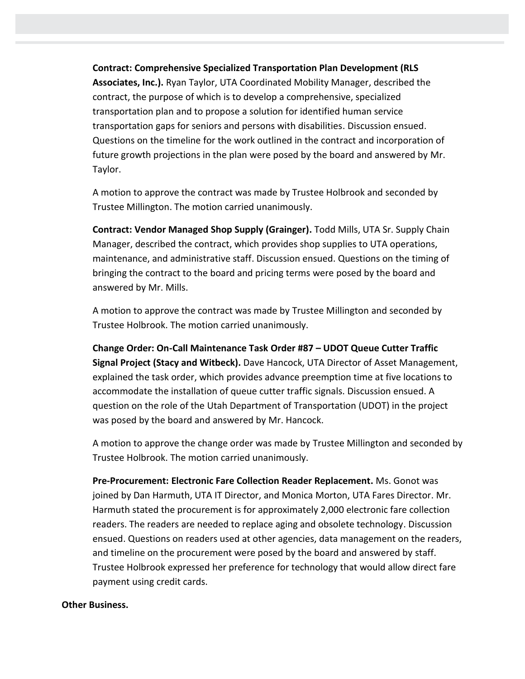## **Contract: Comprehensive Specialized Transportation Plan Development (RLS**

**Associates, Inc.).** Ryan Taylor, UTA Coordinated Mobility Manager, described the contract, the purpose of which is to develop a comprehensive, specialized transportation plan and to propose a solution for identified human service transportation gaps for seniors and persons with disabilities. Discussion ensued. Questions on the timeline for the work outlined in the contract and incorporation of future growth projections in the plan were posed by the board and answered by Mr. Taylor.

A motion to approve the contract was made by Trustee Holbrook and seconded by Trustee Millington. The motion carried unanimously.

**Contract: Vendor Managed Shop Supply (Grainger).** Todd Mills, UTA Sr. Supply Chain Manager, described the contract, which provides shop supplies to UTA operations, maintenance, and administrative staff. Discussion ensued. Questions on the timing of bringing the contract to the board and pricing terms were posed by the board and answered by Mr. Mills.

A motion to approve the contract was made by Trustee Millington and seconded by Trustee Holbrook. The motion carried unanimously.

**Change Order: On-Call Maintenance Task Order #87 – UDOT Queue Cutter Traffic Signal Project (Stacy and Witbeck).** Dave Hancock, UTA Director of Asset Management, explained the task order, which provides advance preemption time at five locations to accommodate the installation of queue cutter traffic signals. Discussion ensued. A question on the role of the Utah Department of Transportation (UDOT) in the project was posed by the board and answered by Mr. Hancock.

A motion to approve the change order was made by Trustee Millington and seconded by Trustee Holbrook. The motion carried unanimously.

**Pre-Procurement: Electronic Fare Collection Reader Replacement.** Ms. Gonot was joined by Dan Harmuth, UTA IT Director, and Monica Morton, UTA Fares Director. Mr. Harmuth stated the procurement is for approximately 2,000 electronic fare collection readers. The readers are needed to replace aging and obsolete technology. Discussion ensued. Questions on readers used at other agencies, data management on the readers, and timeline on the procurement were posed by the board and answered by staff. Trustee Holbrook expressed her preference for technology that would allow direct fare payment using credit cards.

## **Other Business.**